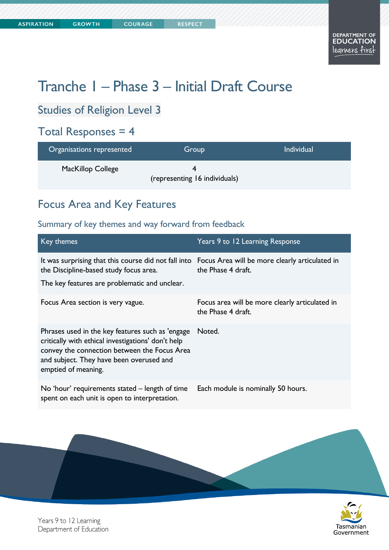**COURAGE** 

# Tranche 1 – Phase 3 – Initial Draft Course

#### Studies of Religion Level 3

#### Total Responses = 4

| Organisations represented | Group                         | <b>Individual</b> |
|---------------------------|-------------------------------|-------------------|
| <b>MacKillop College</b>  | (representing 16 individuals) |                   |

### Focus Area and Key Features

| Key themes                                                                                                                                                                                                                | Years 9 to 12 Learning Response                                      |
|---------------------------------------------------------------------------------------------------------------------------------------------------------------------------------------------------------------------------|----------------------------------------------------------------------|
| It was surprising that this course did not fall into Focus Area will be more clearly articulated in<br>the Discipline-based study focus area.<br>The key features are problematic and unclear.                            | the Phase 4 draft.                                                   |
| Focus Area section is very vague.                                                                                                                                                                                         | Focus area will be more clearly articulated in<br>the Phase 4 draft. |
| Phrases used in the key features such as 'engage<br>critically with ethical investigations' don't help<br>convey the connection between the Focus Area<br>and subject. They have been overused and<br>emptied of meaning. | Noted.                                                               |
| No 'hour' requirements stated – length of time<br>spent on each unit is open to interpretation.                                                                                                                           | Each module is nominally 50 hours.                                   |

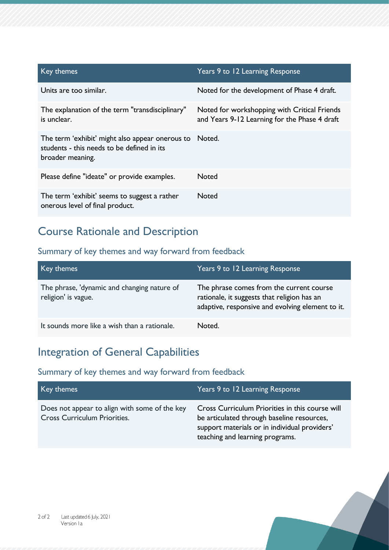| Key themes                                                                                                        | Years 9 to 12 Learning Response                                                               |
|-------------------------------------------------------------------------------------------------------------------|-----------------------------------------------------------------------------------------------|
| Units are too similar.                                                                                            | Noted for the development of Phase 4 draft.                                                   |
| The explanation of the term "transdisciplinary"<br>is unclear.                                                    | Noted for workshopping with Critical Friends<br>and Years 9-12 Learning for the Phase 4 draft |
| The term 'exhibit' might also appear onerous to<br>students - this needs to be defined in its<br>broader meaning. | Noted.                                                                                        |
| Please define "ideate" or provide examples.                                                                       | <b>Noted</b>                                                                                  |
| The term 'exhibit' seems to suggest a rather<br>onerous level of final product.                                   | <b>Noted</b>                                                                                  |

### Course Rationale and Description

#### Summary of key themes and way forward from feedback

| Key themes                                                         | Years 9 to 12 Learning Response                                                                                                             |
|--------------------------------------------------------------------|---------------------------------------------------------------------------------------------------------------------------------------------|
| The phrase, 'dynamic and changing nature of<br>religion' is vague. | The phrase comes from the current course<br>rationale, it suggests that religion has an<br>adaptive, responsive and evolving element to it. |
| It sounds more like a wish than a rationale.                       | Noted.                                                                                                                                      |

### Integration of General Capabilities

| Key themes                                                                           | Years 9 to 12 Learning Response                                                                                                                                                   |
|--------------------------------------------------------------------------------------|-----------------------------------------------------------------------------------------------------------------------------------------------------------------------------------|
| Does not appear to align with some of the key<br><b>Cross Curriculum Priorities.</b> | Cross Curriculum Priorities in this course will<br>be articulated through baseline resources,<br>support materials or in individual providers'<br>teaching and learning programs. |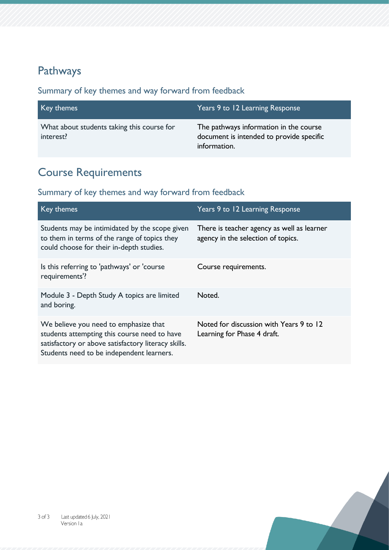### Pathways

Summary of key themes and way forward from feedback

| Key themes                                              | Years 9 to 12 Learning Response                                                                    |
|---------------------------------------------------------|----------------------------------------------------------------------------------------------------|
| What about students taking this course for<br>interest? | The pathways information in the course<br>document is intended to provide specific<br>information. |

# Course Requirements

| Key themes                                                                                                                                                                                | Years 9 to 12 Learning Response                                                  |
|-------------------------------------------------------------------------------------------------------------------------------------------------------------------------------------------|----------------------------------------------------------------------------------|
| Students may be intimidated by the scope given<br>to them in terms of the range of topics they<br>could choose for their in-depth studies.                                                | There is teacher agency as well as learner<br>agency in the selection of topics. |
| Is this referring to 'pathways' or 'course<br>requirements'?                                                                                                                              | Course requirements.                                                             |
| Module 3 - Depth Study A topics are limited<br>and boring.                                                                                                                                | Noted.                                                                           |
| We believe you need to emphasize that<br>students attempting this course need to have<br>satisfactory or above satisfactory literacy skills.<br>Students need to be independent learners. | Noted for discussion with Years 9 to 12<br>Learning for Phase 4 draft.           |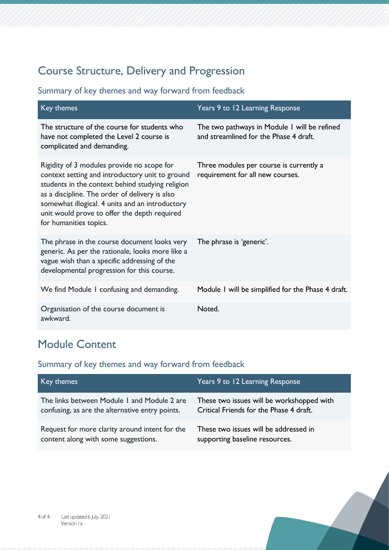## Course Structure, Delivery and Progression

#### Summary of key themes and way forward from feedback

| Key themes                                                                                                                                                                                                                                                                                                                       | Years 9 to 12 Learning Response                                                        |
|----------------------------------------------------------------------------------------------------------------------------------------------------------------------------------------------------------------------------------------------------------------------------------------------------------------------------------|----------------------------------------------------------------------------------------|
| The structure of the course for students who<br>have not completed the Level 2 course is<br>complicated and demanding.                                                                                                                                                                                                           | The two pathways in Module I will be refined<br>and streamlined for the Phase 4 draft. |
| Rigidity of 3 modules provide no scope for<br>context setting and introductory unit to ground<br>students in the context behind studying religion<br>as a discipline. The order of delivery is also<br>somewhat illogical. 4 units and an introductory<br>unit would prove to offer the depth required<br>for humanities topics. | Three modules per course is currently a<br>requirement for all new courses.            |
| The phrase in the course document looks very<br>generic. As per the rationale, looks more like a<br>vague wish than a specific addressing of the<br>developmental progression for this course.                                                                                                                                   | The phrase is 'generic'.                                                               |
| We find Module I confusing and demanding.                                                                                                                                                                                                                                                                                        | Module I will be simplified for the Phase 4 draft.                                     |
| Organisation of the course document is<br>awkward.                                                                                                                                                                                                                                                                               | Noted.                                                                                 |

## Module Content

| Key themes                                      | Years 9 to 12 Learning Response           |
|-------------------------------------------------|-------------------------------------------|
| The links between Module 1 and Module 2 are     | These two issues will be workshopped with |
| confusing, as are the alternative entry points. | Critical Friends for the Phase 4 draft.   |
| Request for more clarity around intent for the  | These two issues will be addressed in     |
| content along with some suggestions.            | supporting baseline resources.            |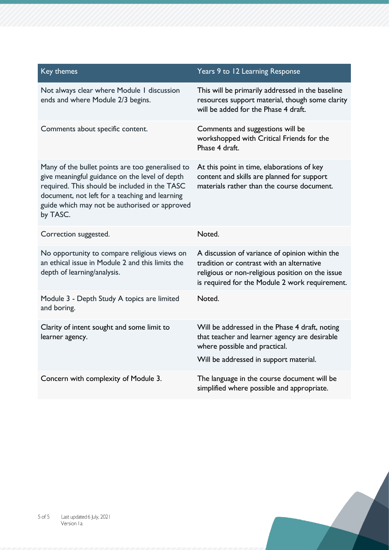| Key themes                                                                                                                                                                                                                                                         | Years 9 to 12 Learning Response                                                                                                                                                                   |
|--------------------------------------------------------------------------------------------------------------------------------------------------------------------------------------------------------------------------------------------------------------------|---------------------------------------------------------------------------------------------------------------------------------------------------------------------------------------------------|
| Not always clear where Module I discussion<br>ends and where Module 2/3 begins.                                                                                                                                                                                    | This will be primarily addressed in the baseline<br>resources support material, though some clarity<br>will be added for the Phase 4 draft.                                                       |
| Comments about specific content.                                                                                                                                                                                                                                   | Comments and suggestions will be<br>workshopped with Critical Friends for the<br>Phase 4 draft.                                                                                                   |
| Many of the bullet points are too generalised to<br>give meaningful guidance on the level of depth<br>required. This should be included in the TASC<br>document, not left for a teaching and learning<br>guide which may not be authorised or approved<br>by TASC. | At this point in time, elaborations of key<br>content and skills are planned for support<br>materials rather than the course document.                                                            |
| Correction suggested.                                                                                                                                                                                                                                              | Noted.                                                                                                                                                                                            |
| No opportunity to compare religious views on<br>an ethical issue in Module 2 and this limits the<br>depth of learning/analysis.                                                                                                                                    | A discussion of variance of opinion within the<br>tradition or contrast with an alternative<br>religious or non-religious position on the issue<br>is required for the Module 2 work requirement. |
| Module 3 - Depth Study A topics are limited<br>and boring.                                                                                                                                                                                                         | Noted.                                                                                                                                                                                            |
| Clarity of intent sought and some limit to<br>learner agency.                                                                                                                                                                                                      | Will be addressed in the Phase 4 draft, noting<br>that teacher and learner agency are desirable<br>where possible and practical.<br>Will be addressed in support material.                        |
| Concern with complexity of Module 3.                                                                                                                                                                                                                               | The language in the course document will be<br>simplified where possible and appropriate.                                                                                                         |

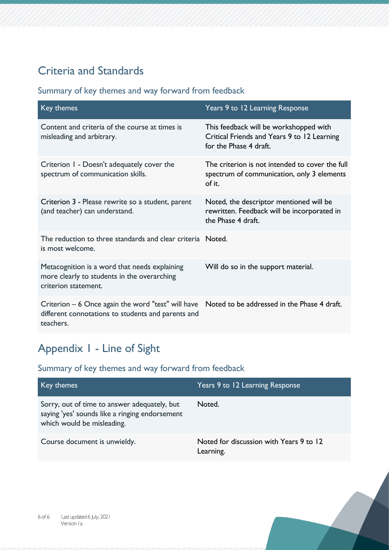## Criteria and Standards

#### Summary of key themes and way forward from feedback

| Key themes                                                                                                                                                         | Years 9 to 12 Learning Response                                                                                 |
|--------------------------------------------------------------------------------------------------------------------------------------------------------------------|-----------------------------------------------------------------------------------------------------------------|
| Content and criteria of the course at times is<br>misleading and arbitrary.                                                                                        | This feedback will be workshopped with<br>Critical Friends and Years 9 to 12 Learning<br>for the Phase 4 draft. |
| Criterion I - Doesn't adequately cover the<br>spectrum of communication skills.                                                                                    | The criterion is not intended to cover the full<br>spectrum of communication, only 3 elements<br>of it.         |
| Criterion 3 - Please rewrite so a student, parent<br>(and teacher) can understand.                                                                                 | Noted, the descriptor mentioned will be<br>rewritten. Feedback will be incorporated in<br>the Phase 4 draft.    |
| The reduction to three standards and clear criteria Noted.<br>is most welcome.                                                                                     |                                                                                                                 |
| Metacognition is a word that needs explaining<br>more clearly to students in the overarching<br>criterion statement.                                               | Will do so in the support material.                                                                             |
| Criterion $-6$ Once again the word "test" will have Noted to be addressed in the Phase 4 draft.<br>different connotations to students and parents and<br>teachers. |                                                                                                                 |

# Appendix 1 - Line of Sight

| Key themes                                                                                                                   | Years 9 to 12 Learning Response                      |
|------------------------------------------------------------------------------------------------------------------------------|------------------------------------------------------|
| Sorry, out of time to answer adequately, but<br>saying 'yes' sounds like a ringing endorsement<br>which would be misleading. | Noted.                                               |
| Course document is unwieldy.                                                                                                 | Noted for discussion with Years 9 to 12<br>Learning. |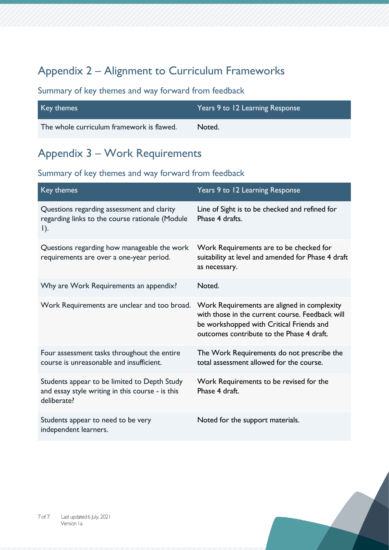## Appendix 2 – Alignment to Curriculum Frameworks

#### Summary of key themes and way forward from feedback

| Key themes                                | Years 9 to 12 Learning Response |
|-------------------------------------------|---------------------------------|
| The whole curriculum framework is flawed. | Noted.                          |

#### Appendix 3 – Work Requirements

| Key themes                                                                                                      | Years 9 to 12 Learning Response                                                                                                                                                         |
|-----------------------------------------------------------------------------------------------------------------|-----------------------------------------------------------------------------------------------------------------------------------------------------------------------------------------|
| Questions regarding assessment and clarity<br>regarding links to the course rationale (Module<br>$\vert$ ).     | Line of Sight is to be checked and refined for<br>Phase 4 drafts.                                                                                                                       |
| Questions regarding how manageable the work<br>requirements are over a one-year period.                         | Work Requirements are to be checked for<br>suitability at level and amended for Phase 4 draft<br>as necessary.                                                                          |
| Why are Work Requirements an appendix?                                                                          | Noted.                                                                                                                                                                                  |
| Work Requirements are unclear and too broad.                                                                    | Work Requirements are aligned in complexity<br>with those in the current course. Feedback will<br>be workshopped with Critical Friends and<br>outcomes contribute to the Phase 4 draft. |
| Four assessment tasks throughout the entire<br>course is unreasonable and insufficient.                         | The Work Requirements do not prescribe the<br>total assessment allowed for the course.                                                                                                  |
| Students appear to be limited to Depth Study<br>and essay style writing in this course - is this<br>deliberate? | Work Requirements to be revised for the<br>Phase 4 draft.                                                                                                                               |
| Students appear to need to be very<br>independent learners.                                                     | Noted for the support materials.                                                                                                                                                        |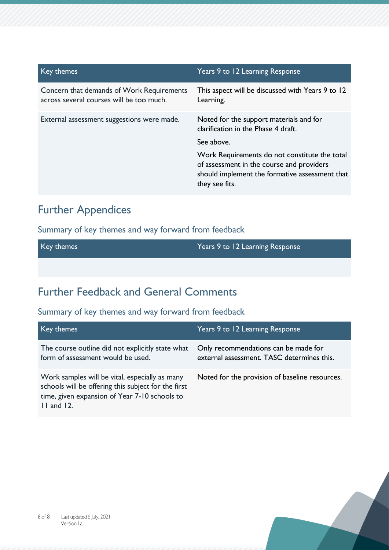| Key themes                                                                            | Years 9 to 12 Learning Response                                                                                                                                |
|---------------------------------------------------------------------------------------|----------------------------------------------------------------------------------------------------------------------------------------------------------------|
| Concern that demands of Work Requirements<br>across several courses will be too much. | This aspect will be discussed with Years 9 to 12<br>Learning.                                                                                                  |
| External assessment suggestions were made.                                            | Noted for the support materials and for<br>clarification in the Phase 4 draft.                                                                                 |
|                                                                                       | See above.                                                                                                                                                     |
|                                                                                       | Work Requirements do not constitute the total<br>of assessment in the course and providers<br>should implement the formative assessment that<br>they see fits. |

### Further Appendices

Summary of key themes and way forward from feedback

| Key themes | Years 9 to 12 Learning Response |
|------------|---------------------------------|
|            |                                 |

## Further Feedback and General Comments

| Key themes                                                                                                                                                                | Years 9 to 12 Learning Response                                                    |
|---------------------------------------------------------------------------------------------------------------------------------------------------------------------------|------------------------------------------------------------------------------------|
| The course outline did not explicitly state what<br>form of assessment would be used.                                                                                     | Only recommendations can be made for<br>external assessment. TASC determines this. |
| Work samples will be vital, especially as many<br>schools will be offering this subject for the first<br>time, given expansion of Year 7-10 schools to<br>$11$ and $12$ . | Noted for the provision of baseline resources.                                     |